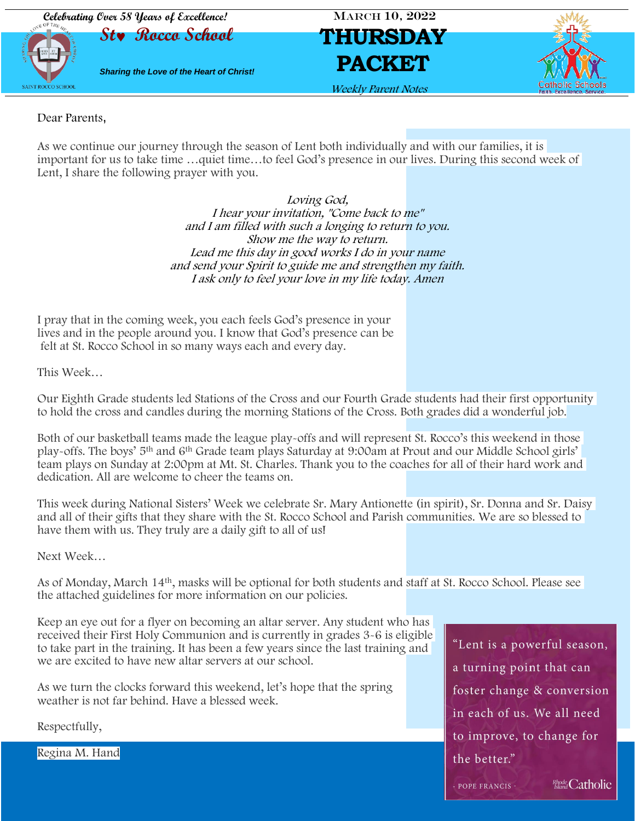



#### Dear Parents,

As we continue our journey through the season of Lent both individually and with our families, it is important for us to take time …quiet time…to feel God's presence in our lives. During this second week of Lent, I share the following prayer with you.

> Loving God, I hear your invitation, "Come back to me" and I am filled with such a longing to return to you. Show me the way to return. Lead me this day in good works I do in your name and send your Spirit to guide me and strengthen my faith. I ask only to feel your love in my life today. Amen

I pray that in the coming week, you each feels God's presence in your lives and in the people around you. I know that God's presence can be felt at St. Rocco School in so many ways each and every day.

This Week…

Our Eighth Grade students led Stations of the Cross and our Fourth Grade students had their first opportunity to hold the cross and candles during the morning Stations of the Cross. Both grades did a wonderful job.

Both of our basketball teams made the league play-offs and will represent St. Rocco's this weekend in those play-offs. The boys' 5th and 6th Grade team plays Saturday at 9:00am at Prout and our Middle School girls' team plays on Sunday at 2:00pm at Mt. St. Charles. Thank you to the coaches for all of their hard work and dedication. All are welcome to cheer the teams on.

This week during National Sisters' Week we celebrate Sr. Mary Antionette (in spirit), Sr. Donna and Sr. Daisy and all of their gifts that they share with the St. Rocco School and Parish communities. We are so blessed to have them with us. They truly are a daily gift to all of us!

Next Week…

As of Monday, March 14th, masks will be optional for both students and staff at St. Rocco School. Please see the attached guidelines for more information on our policies.

Keep an eye out for a flyer on becoming an altar server. Any student who has received their First Holy Communion and is currently in grades 3-6 is eligible to take part in the training. It has been a few years since the last training and we are excited to have new altar servers at our school.

As we turn the clocks forward this weekend, let's hope that the spring weather is not far behind. Have a blessed week.

Respectfully,

Regina M. Hand

"Lent is a powerful season, a turning point that can foster change & conversion in each of us. We all need to improve, to change for the better."

- POPE FRANCIS -

Rhode Catholic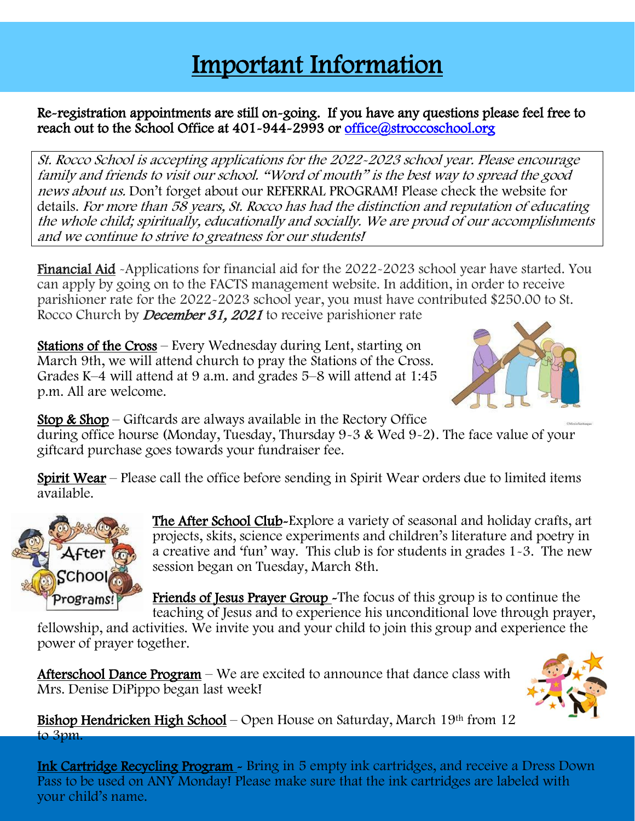## Important Information

### I Re-registration appointments are still on-going. If you have any questions please feel free to reach out to the School Office at 401-944-2993 or office@stroccoschool.org

St. Rocco School is accepting applications for the 2022-2023 school year. Please encourage family and friends to visit our school. "Word of mouth" is the best way to spread the good news about us. Don't forget about our REFERRAL PROGRAM! Please check the website for details. For more than 58 years, St. Rocco has had the distinction and reputation of educating the whole child; spiritually, educationally and socially. We are proud of our accomplishments and we continue to strive to greatness for our students!

Financial Aid -Applications for financial aid for the 2022-2023 school year have started. You can apply by going on to the FACTS management website. In addition, in order to receive parishioner rate for the 2022-2023 school year, you must have contributed \$250.00 to St. Rocco Church by *December 31, 2021* to receive parishioner rate

Stations of the Cross – Every Wednesday during Lent, starting on March 9th, we will attend church to pray the Stations of the Cross. Grades K–4 will attend at 9 a.m. and grades 5–8 will attend at 1:45 p.m. All are welcome.



Stop & Shop – Giftcards are always available in the Rectory Office during office hourse (Monday, Tuesday, Thursday 9-3 & Wed 9-2). The face value of your giftcard purchase goes towards your fundraiser fee.

Spirit Wear – Please call the office before sending in Spirit Wear orders due to limited items available.



ı

The After School Club-Explore a variety of seasonal and holiday crafts, art projects, skits, science experiments and children's literature and poetry in a creative and 'fun' way. This club is for students in grades 1-3. The new session began on Tuesday, March 8th.

Friends of Jesus Prayer Group -The focus of this group is to continue the

teaching of Jesus and to experience his unconditional love through prayer, fellowship, and activities. We invite you and your child to join this group and experience the power of prayer together.

Afterschool Dance Program – We are excited to announce that dance class with Mrs. Denise DiPippo began last week!



Bishop Hendricken High School – Open House on Saturday, March  $19<sup>th</sup>$  from  $12$ to 3pm.

Ink Cartridge Recycling Program - Bring in 5 empty ink cartridges, and receive a Dress Down Pass to be used on ANY Monday! Please make sure that the ink cartridges are labeled with your child's name.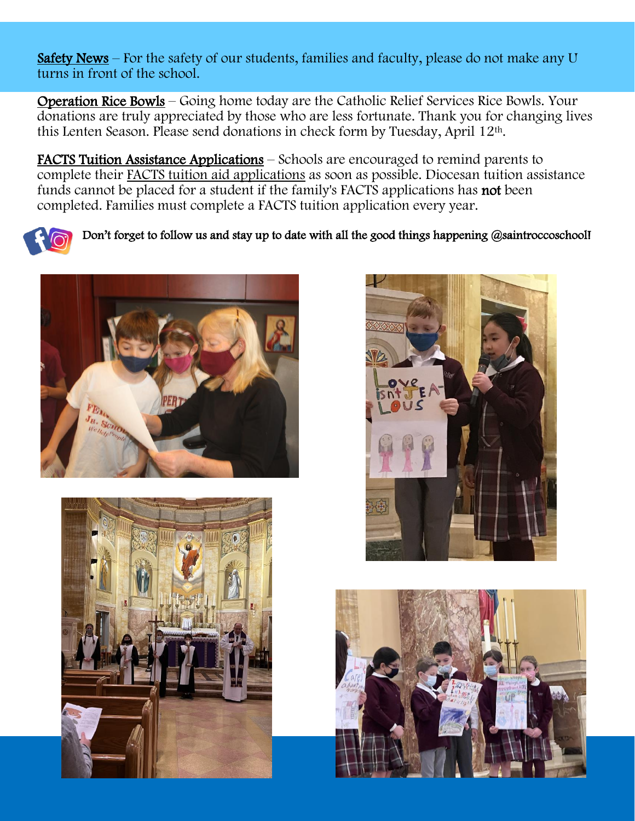Safety News – For the safety of our students, families and faculty, please do not make any U turns in front of the school.

Operation Rice Bowls – Going home today are the Catholic Relief Services Rice Bowls. Your donations are truly appreciated by those who are less fortunate. Thank you for changing lives this Lenten Season. Please send donations in check form by Tuesday, April 12th.

FACTS Tuition Assistance Applications – Schools are encouraged to remind parents to complete their [FACTS tuition aid applications](https://r20.rs6.net/tn.jsp?f=001DwVm_bo0s8HPE7TNSTcMRicI_CCbrOHIo9lIh_am1xpBjt7JPg36dyoMFVlPAXdANbcCD6WEs6_kHbxaNjIWjlipoj8zuqgzhOJ4e9ygRYnsIw3wvWiUj4YjEBrir-3BDWSCrV1EWuKdLR0Uay_kuMsCZ-N8FusG&c=RvTqHLuzuqzyyFxz51fMCDL7FCxyJaVuObZc3SMY_cB0C4cZkqsNoA==&ch=ovgNypsdbJpKWqXGw2Hm7YpoeXcAGp-yp3y0j2Qs4WZ-M47jI3-tYw==) as soon as possible. Diocesan tuition assistance funds cannot be placed for a student if the family's FACTS applications has not been completed. Families must complete a FACTS tuition application every year.









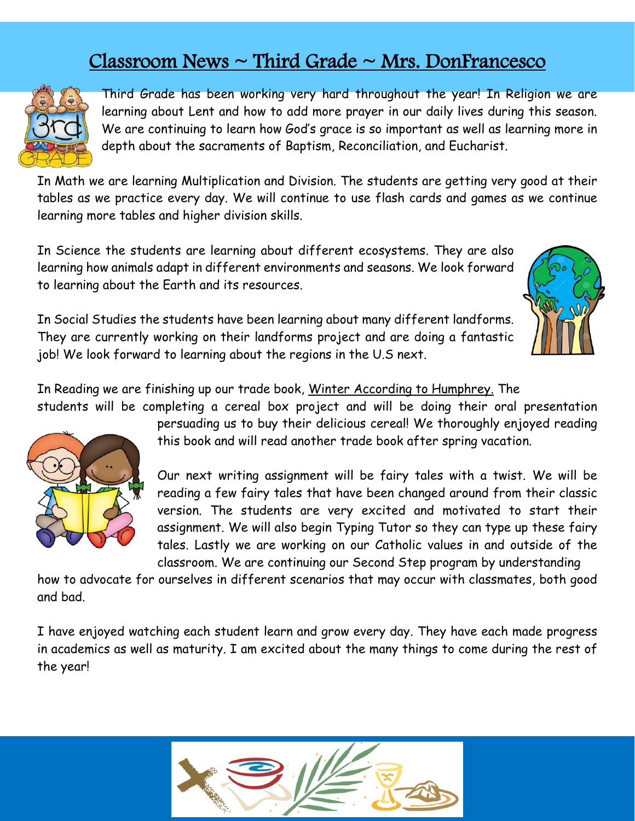## Classroom News ~ Third Grade ~ Mrs. DonFrancesco



Third Grade has been working very hard throughout the year! In Religion we are learning about Lent and how to add more prayer in our daily lives during this season. We are continuing to learn how God's grace is so important as well as learning more in depth about the sacraments of Baptism, Reconciliation, and Eucharist.

In Math we are learning Multiplication and Division. The students are getting very good at their tables as we practice every day. We will continue to use flash cards and games as we continue learning more tables and higher division skills.

In Science the students are learning about different ecosystems. They are also learning how animals adapt in different environments and seasons. We look forward to learning about the Earth and its resources.



In Social Studies the students have been learning about many different landforms. They are currently working on their landforms project and are doing a fantastic job! We look forward to learning about the regions in the U.S next.

In Reading we are finishing up our trade book, Winter According to Humphrey. The

students will be completing a cereal box project and will be doing their oral presentation persuading us to buy their delicious cereal! We thoroughly enjoyed reading this book and will read another trade book after spring vacation.



how to advocate for ourselves in different scenarios that may occur with classmates, both good and bad.

I have enjoyed watching each student learn and grow every day. They have each made progress in academics as well as maturity. I am excited about the many things to come during the rest of the year!